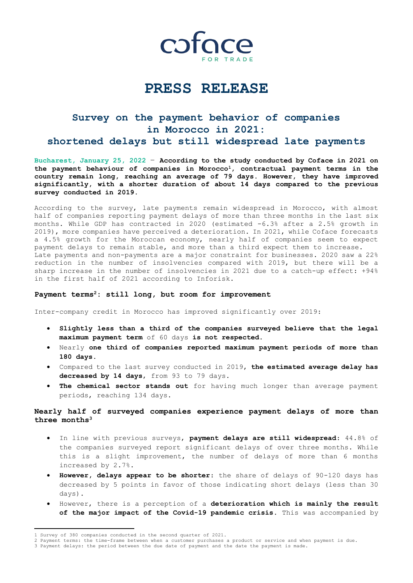

# **PRESS RELEASE**

## **Survey on the payment behavior of companies in Morocco in 2021: shortened delays but still widespread late payments**

**Bucharest, January 25, 2022** – **According to the study conducted by Coface in 2021 on the payment behaviour of companies in Morocco1, contractual payment terms in the country remain long, reaching an average of 79 days. However, they have improved significantly, with a shorter duration of about 14 days compared to the previous survey conducted in 2019.**

According to the survey, late payments remain widespread in Morocco, with almost half of companies reporting payment delays of more than three months in the last six months. While GDP has contracted in 2020 (estimated -6.3% after a 2.5% growth in 2019), more companies have perceived a deterioration. In 2021, while Coface forecasts a 4.5% growth for the Moroccan economy, nearly half of companies seem to expect payment delays to remain stable, and more than a third expect them to increase. Late payments and non-payments are a major constraint for businesses. 2020 saw a 22% reduction in the number of insolvencies compared with 2019, but there will be a sharp increase in the number of insolvencies in 2021 due to a catch-up effect: +94% in the first half of 2021 according to Inforisk.

## **Payment terms <sup>2</sup>: still long, but room for improvement**

Inter-company credit in Morocco has improved significantly over 2019:

- **Slightly less than a third of the companies surveyed believe that the legal maximum payment term** of 60 days **is not respected.**
- Nearly **one third of companies reported maximum payment periods of more than 180 days**.
- Compared to the last survey conducted in 2019, **the estimated average delay has decreased by 14 days**, from 93 to 79 days.
- **The chemical sector stands out** for having much longer than average payment periods, reaching 134 days.

## **Nearly half of surveyed companies experience payment delays of more than three months<sup>3</sup>**

- In line with previous surveys, **payment delays are still widespread**: 44.8% of the companies surveyed report significant delays of over three months. While this is a slight improvement, the number of delays of more than 6 months increased by 2.7%.
- **However, delays appear to be shorter**: the share of delays of 90-120 days has decreased by 5 points in favor of those indicating short delays (less than 30 days).
- However, there is a perception of a **deterioration which is mainly the result of the major impact of the Covid-19 pandemic crisis**. This was accompanied by

 1 Survey of 380 companies conducted in the second quarter of 2021.

<sup>2</sup> Payment terms: the time-frame between when a customer purchases a product or service and when payment is due.

<sup>3</sup> Payment delays: the period between the due date of payment and the date the payment is made.